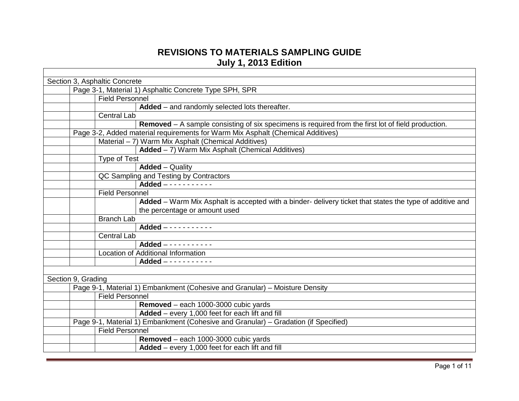## **REVISIONS TO MATERIALS SAMPLING GUIDE July 1, 2013 Edition**

|                    | Section 3, Asphaltic Concrete                                                                               |
|--------------------|-------------------------------------------------------------------------------------------------------------|
|                    | Page 3-1, Material 1) Asphaltic Concrete Type SPH, SPR                                                      |
|                    | <b>Field Personnel</b>                                                                                      |
|                    | Added - and randomly selected lots thereafter.                                                              |
|                    | <b>Central Lab</b>                                                                                          |
|                    | <b>Removed</b> $-$ A sample consisting of six specimens is required from the first lot of field production. |
|                    | Page 3-2, Added material requirements for Warm Mix Asphalt (Chemical Additives)                             |
|                    | Material - 7) Warm Mix Asphalt (Chemical Additives)                                                         |
|                    | Added - 7) Warm Mix Asphalt (Chemical Additives)                                                            |
|                    | <b>Type of Test</b>                                                                                         |
|                    | <b>Added</b> - Quality                                                                                      |
|                    | QC Sampling and Testing by Contractors                                                                      |
|                    | Added $- - - - - - - - - - -$                                                                               |
|                    | <b>Field Personnel</b>                                                                                      |
|                    | Added – Warm Mix Asphalt is accepted with a binder- delivery ticket that states the type of additive and    |
|                    | the percentage or amount used                                                                               |
|                    | <b>Branch Lab</b>                                                                                           |
|                    | Added -----------                                                                                           |
|                    | <b>Central Lab</b>                                                                                          |
|                    | Added -----------                                                                                           |
|                    | Location of Additional Information                                                                          |
|                    | Added $- - - - - - - - - - -$                                                                               |
|                    |                                                                                                             |
| Section 9, Grading |                                                                                                             |
|                    | Page 9-1, Material 1) Embankment (Cohesive and Granular) - Moisture Density                                 |
|                    | <b>Field Personnel</b>                                                                                      |
|                    | Removed - each 1000-3000 cubic yards                                                                        |
|                    | Added - every 1,000 feet for each lift and fill                                                             |
|                    | Page 9-1, Material 1) Embankment (Cohesive and Granular) – Gradation (if Specified)                         |
|                    | <b>Field Personnel</b>                                                                                      |
|                    | Removed - each 1000-3000 cubic yards                                                                        |
|                    | Added - every 1,000 feet for each lift and fill                                                             |
|                    |                                                                                                             |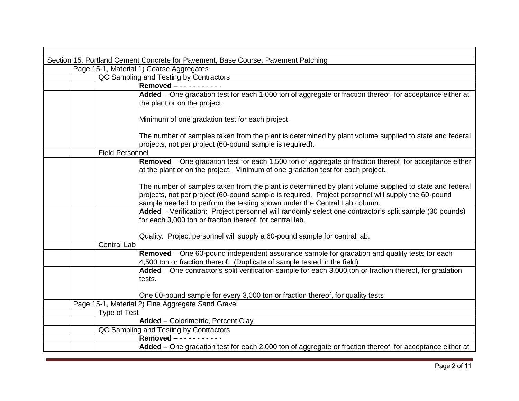| Section 15, Portland Cement Concrete for Pavement, Base Course, Pavement Patching                        |  |
|----------------------------------------------------------------------------------------------------------|--|
| Page 15-1, Material 1) Coarse Aggregates                                                                 |  |
| QC Sampling and Testing by Contractors                                                                   |  |
| Removed -----------                                                                                      |  |
| Added – One gradation test for each 1,000 ton of aggregate or fraction thereof, for acceptance either at |  |
| the plant or on the project.                                                                             |  |
|                                                                                                          |  |
| Minimum of one gradation test for each project.                                                          |  |
|                                                                                                          |  |
| The number of samples taken from the plant is determined by plant volume supplied to state and federal   |  |
| projects, not per project (60-pound sample is required).<br><b>Field Personnel</b>                       |  |
|                                                                                                          |  |
| Removed – One gradation test for each 1,500 ton of aggregate or fraction thereof, for acceptance either  |  |
| at the plant or on the project. Minimum of one gradation test for each project.                          |  |
| The number of samples taken from the plant is determined by plant volume supplied to state and federal   |  |
| projects, not per project (60-pound sample is required. Project personnel will supply the 60-pound       |  |
| sample needed to perform the testing shown under the Central Lab column.                                 |  |
| Added - Verification: Project personnel will randomly select one contractor's split sample (30 pounds)   |  |
| for each 3,000 ton or fraction thereof, for central lab.                                                 |  |
|                                                                                                          |  |
| Quality: Project personnel will supply a 60-pound sample for central lab.                                |  |
| <b>Central Lab</b>                                                                                       |  |
| Removed - One 60-pound independent assurance sample for gradation and quality tests for each             |  |
| 4,500 ton or fraction thereof. (Duplicate of sample tested in the field)                                 |  |
| Added - One contractor's split verification sample for each 3,000 ton or fraction thereof, for gradation |  |
| tests.                                                                                                   |  |
|                                                                                                          |  |
| One 60-pound sample for every 3,000 ton or fraction thereof, for quality tests                           |  |
| Page 15-1, Material 2) Fine Aggregate Sand Gravel                                                        |  |
| <b>Type of Test</b>                                                                                      |  |
| <b>Added</b> - Colorimetric, Percent Clay                                                                |  |
| QC Sampling and Testing by Contractors                                                                   |  |
| Removed -----------                                                                                      |  |
| Added – One gradation test for each 2,000 ton of aggregate or fraction thereof, for acceptance either at |  |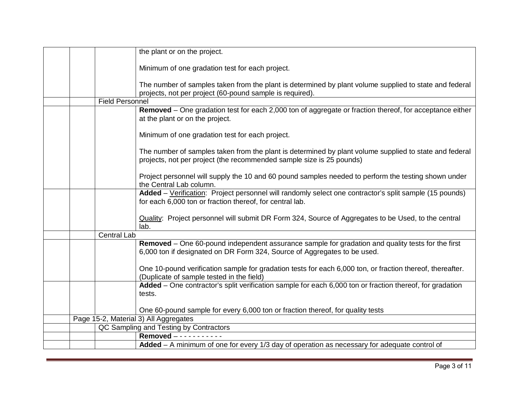|  |                        | the plant or on the project.                                                                                                                                                   |
|--|------------------------|--------------------------------------------------------------------------------------------------------------------------------------------------------------------------------|
|  |                        | Minimum of one gradation test for each project.                                                                                                                                |
|  |                        | The number of samples taken from the plant is determined by plant volume supplied to state and federal<br>projects, not per project (60-pound sample is required).             |
|  | <b>Field Personnel</b> |                                                                                                                                                                                |
|  |                        | Removed - One gradation test for each 2,000 ton of aggregate or fraction thereof, for acceptance either<br>at the plant or on the project.                                     |
|  |                        | Minimum of one gradation test for each project.                                                                                                                                |
|  |                        | The number of samples taken from the plant is determined by plant volume supplied to state and federal<br>projects, not per project (the recommended sample size is 25 pounds) |
|  |                        | Project personnel will supply the 10 and 60 pound samples needed to perform the testing shown under<br>the Central Lab column.                                                 |
|  |                        | Added - Verification: Project personnel will randomly select one contractor's split sample (15 pounds)<br>for each 6,000 ton or fraction thereof, for central lab.             |
|  |                        | Quality: Project personnel will submit DR Form 324, Source of Aggregates to be Used, to the central<br>lab.                                                                    |
|  | <b>Central Lab</b>     |                                                                                                                                                                                |
|  |                        | Removed – One 60-pound independent assurance sample for gradation and quality tests for the first<br>6,000 ton if designated on DR Form 324, Source of Aggregates to be used.  |
|  |                        | One 10-pound verification sample for gradation tests for each 6,000 ton, or fraction thereof, thereafter.<br>(Duplicate of sample tested in the field)                         |
|  |                        | Added – One contractor's split verification sample for each 6,000 ton or fraction thereof, for gradation<br>tests.                                                             |
|  |                        | One 60-pound sample for every 6,000 ton or fraction thereof, for quality tests                                                                                                 |
|  |                        | Page 15-2, Material 3) All Aggregates                                                                                                                                          |
|  |                        | QC Sampling and Testing by Contractors                                                                                                                                         |
|  |                        | Removed $- - - - - - - -$                                                                                                                                                      |
|  |                        | Added - A minimum of one for every 1/3 day of operation as necessary for adequate control of                                                                                   |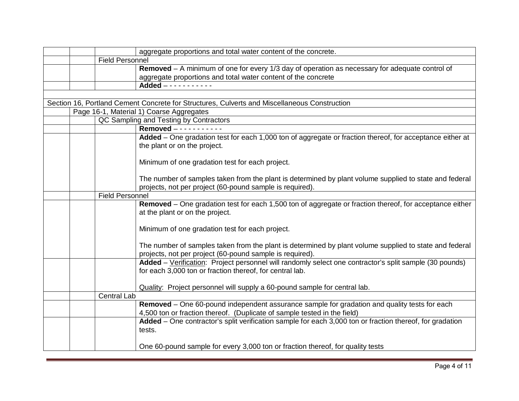|                        | aggregate proportions and total water content of the concrete.                                                                                                           |
|------------------------|--------------------------------------------------------------------------------------------------------------------------------------------------------------------------|
| <b>Field Personnel</b> |                                                                                                                                                                          |
|                        | Removed $-$ A minimum of one for every 1/3 day of operation as necessary for adequate control of                                                                         |
|                        | aggregate proportions and total water content of the concrete                                                                                                            |
|                        | Added $-$ - - - - - - - - - -                                                                                                                                            |
|                        |                                                                                                                                                                          |
|                        | Section 16, Portland Cement Concrete for Structures, Culverts and Miscellaneous Construction                                                                             |
|                        | Page 16-1, Material 1) Coarse Aggregates                                                                                                                                 |
|                        | QC Sampling and Testing by Contractors                                                                                                                                   |
|                        | Removed - - - - - - - - - - -                                                                                                                                            |
|                        | Added – One gradation test for each 1,000 ton of aggregate or fraction thereof, for acceptance either at<br>the plant or on the project.                                 |
|                        | Minimum of one gradation test for each project.                                                                                                                          |
|                        | The number of samples taken from the plant is determined by plant volume supplied to state and federal<br>projects, not per project (60-pound sample is required).       |
| <b>Field Personnel</b> |                                                                                                                                                                          |
|                        | Removed – One gradation test for each 1,500 ton of aggregate or fraction thereof, for acceptance either<br>at the plant or on the project.                               |
|                        | Minimum of one gradation test for each project.                                                                                                                          |
|                        | The number of samples taken from the plant is determined by plant volume supplied to state and federal<br>projects, not per project (60-pound sample is required).       |
|                        | Added - Verification: Project personnel will randomly select one contractor's split sample (30 pounds)<br>for each 3,000 ton or fraction thereof, for central lab.       |
|                        | Quality: Project personnel will supply a 60-pound sample for central lab.                                                                                                |
| <b>Central Lab</b>     |                                                                                                                                                                          |
|                        | Removed - One 60-pound independent assurance sample for gradation and quality tests for each<br>4,500 ton or fraction thereof. (Duplicate of sample tested in the field) |
|                        | Added - One contractor's split verification sample for each 3,000 ton or fraction thereof, for gradation<br>tests.                                                       |
|                        | One 60-pound sample for every 3,000 ton or fraction thereof, for quality tests                                                                                           |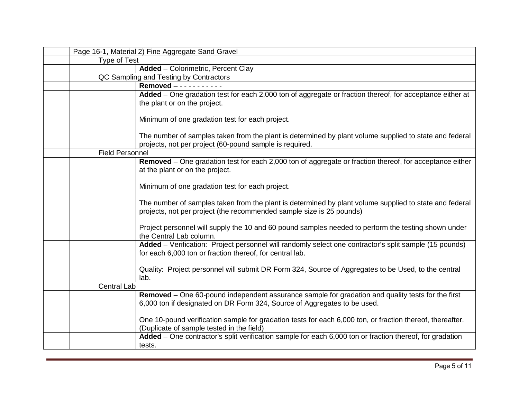|  |                        | Page 16-1, Material 2) Fine Aggregate Sand Gravel                                                                                                                              |
|--|------------------------|--------------------------------------------------------------------------------------------------------------------------------------------------------------------------------|
|  | Type of Test           |                                                                                                                                                                                |
|  |                        | <b>Added</b> - Colorimetric, Percent Clay                                                                                                                                      |
|  |                        | QC Sampling and Testing by Contractors                                                                                                                                         |
|  |                        | Removed $- - - - -$                                                                                                                                                            |
|  |                        | Added – One gradation test for each 2,000 ton of aggregate or fraction thereof, for acceptance either at<br>the plant or on the project.                                       |
|  |                        | Minimum of one gradation test for each project.                                                                                                                                |
|  |                        | The number of samples taken from the plant is determined by plant volume supplied to state and federal<br>projects, not per project (60-pound sample is required.              |
|  | <b>Field Personnel</b> |                                                                                                                                                                                |
|  |                        | Removed – One gradation test for each 2,000 ton of aggregate or fraction thereof, for acceptance either<br>at the plant or on the project.                                     |
|  |                        | Minimum of one gradation test for each project.                                                                                                                                |
|  |                        | The number of samples taken from the plant is determined by plant volume supplied to state and federal<br>projects, not per project (the recommended sample size is 25 pounds) |
|  |                        | Project personnel will supply the 10 and 60 pound samples needed to perform the testing shown under<br>the Central Lab column.                                                 |
|  |                        | Added - Verification: Project personnel will randomly select one contractor's split sample (15 pounds)<br>for each 6,000 ton or fraction thereof, for central lab.             |
|  |                        | Quality: Project personnel will submit DR Form 324, Source of Aggregates to be Used, to the central<br>lab.                                                                    |
|  | <b>Central Lab</b>     |                                                                                                                                                                                |
|  |                        | Removed – One 60-pound independent assurance sample for gradation and quality tests for the first<br>6,000 ton if designated on DR Form 324, Source of Aggregates to be used.  |
|  |                        | One 10-pound verification sample for gradation tests for each 6,000 ton, or fraction thereof, thereafter.<br>(Duplicate of sample tested in the field)                         |
|  |                        | Added - One contractor's split verification sample for each 6,000 ton or fraction thereof, for gradation<br>tests.                                                             |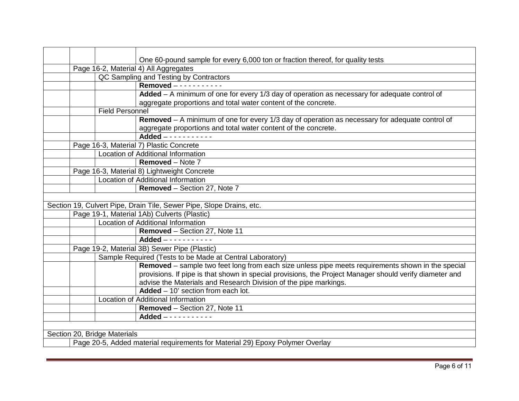|  |                              | One 60-pound sample for every 6,000 ton or fraction thereof, for quality tests                          |
|--|------------------------------|---------------------------------------------------------------------------------------------------------|
|  |                              | Page 16-2, Material 4) All Aggregates                                                                   |
|  |                              | QC Sampling and Testing by Contractors                                                                  |
|  |                              | Removed -----------                                                                                     |
|  |                              | Added - A minimum of one for every 1/3 day of operation as necessary for adequate control of            |
|  |                              | aggregate proportions and total water content of the concrete.                                          |
|  | <b>Field Personnel</b>       |                                                                                                         |
|  |                              | Removed $-$ A minimum of one for every 1/3 day of operation as necessary for adequate control of        |
|  |                              | aggregate proportions and total water content of the concrete.                                          |
|  |                              | $Added - - - - - - - - - - -$                                                                           |
|  |                              | Page 16-3, Material 7) Plastic Concrete                                                                 |
|  |                              | Location of Additional Information                                                                      |
|  |                              | <b>Removed</b> – Note 7                                                                                 |
|  |                              | Page 16-3, Material 8) Lightweight Concrete                                                             |
|  |                              | Location of Additional Information                                                                      |
|  |                              | Removed - Section 27, Note 7                                                                            |
|  |                              |                                                                                                         |
|  |                              | Section 19, Culvert Pipe, Drain Tile, Sewer Pipe, Slope Drains, etc.                                    |
|  |                              | Page 19-1, Material 1Ab) Culverts (Plastic)                                                             |
|  |                              | Location of Additional Information                                                                      |
|  |                              | Removed - Section 27, Note 11                                                                           |
|  |                              | Added $- - - - - - - - - - - -$                                                                         |
|  |                              | Page 19-2, Material 3B) Sewer Pipe (Plastic)                                                            |
|  |                              | Sample Required (Tests to be Made at Central Laboratory)                                                |
|  |                              | Removed – sample two feet long from each size unless pipe meets requirements shown in the special       |
|  |                              | provisions. If pipe is that shown in special provisions, the Project Manager should verify diameter and |
|  |                              | advise the Materials and Research Division of the pipe markings.                                        |
|  |                              | Added $-10'$ section from each lot.                                                                     |
|  |                              | Location of Additional Information                                                                      |
|  |                              | Removed - Section 27, Note 11                                                                           |
|  |                              | Added $- - - - - - - - - - -$                                                                           |
|  |                              |                                                                                                         |
|  | Section 20, Bridge Materials |                                                                                                         |
|  |                              |                                                                                                         |

Page 20-5, Added material requirements for Material 29) Epoxy Polymer Overlay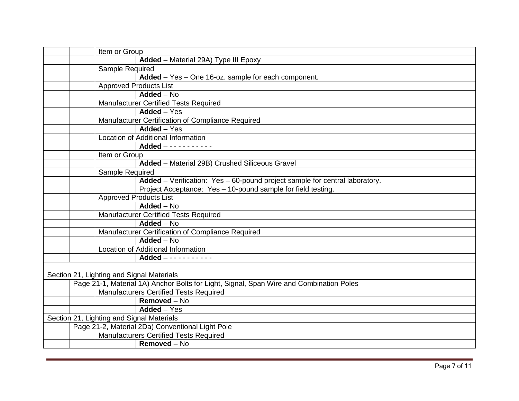|                                                   | Item or Group   |                                                                                         |  |  |
|---------------------------------------------------|-----------------|-----------------------------------------------------------------------------------------|--|--|
|                                                   |                 | Added - Material 29A) Type III Epoxy                                                    |  |  |
|                                                   | Sample Required |                                                                                         |  |  |
|                                                   |                 | Added - Yes - One 16-oz. sample for each component.                                     |  |  |
|                                                   |                 | <b>Approved Products List</b>                                                           |  |  |
|                                                   |                 | $Added - No$                                                                            |  |  |
|                                                   |                 | Manufacturer Certified Tests Required                                                   |  |  |
|                                                   |                 | $\overline{\mathsf{Added}} - \mathsf{Yes}$                                              |  |  |
| Manufacturer Certification of Compliance Required |                 |                                                                                         |  |  |
|                                                   |                 | Added - Yes                                                                             |  |  |
|                                                   |                 | Location of Additional Information                                                      |  |  |
|                                                   |                 | Added $- - - - - - - - - - -$                                                           |  |  |
|                                                   | Item or Group   |                                                                                         |  |  |
|                                                   |                 | Added - Material 29B) Crushed Siliceous Gravel                                          |  |  |
|                                                   | Sample Required |                                                                                         |  |  |
|                                                   |                 | Added - Verification: Yes - 60-pound project sample for central laboratory.             |  |  |
|                                                   |                 | Project Acceptance: Yes - 10-pound sample for field testing.                            |  |  |
|                                                   |                 | <b>Approved Products List</b>                                                           |  |  |
|                                                   |                 | Added $-\overline{N_0}$                                                                 |  |  |
|                                                   |                 | <b>Manufacturer Certified Tests Required</b>                                            |  |  |
|                                                   |                 | Added - No                                                                              |  |  |
|                                                   |                 | Manufacturer Certification of Compliance Required                                       |  |  |
|                                                   |                 | Added - No                                                                              |  |  |
|                                                   |                 | <b>Location of Additional Information</b>                                               |  |  |
|                                                   |                 | Added -----------                                                                       |  |  |
|                                                   |                 |                                                                                         |  |  |
|                                                   |                 | Section 21, Lighting and Signal Materials                                               |  |  |
|                                                   |                 | Page 21-1, Material 1A) Anchor Bolts for Light, Signal, Span Wire and Combination Poles |  |  |
|                                                   |                 | Manufacturers Certified Tests Required                                                  |  |  |
|                                                   |                 | Removed - No                                                                            |  |  |
|                                                   |                 | Added - Yes                                                                             |  |  |
|                                                   |                 | Section 21, Lighting and Signal Materials                                               |  |  |
|                                                   |                 | Page 21-2, Material 2Da) Conventional Light Pole                                        |  |  |
|                                                   |                 | <b>Manufacturers Certified Tests Required</b>                                           |  |  |
|                                                   |                 | Removed - No                                                                            |  |  |
|                                                   |                 |                                                                                         |  |  |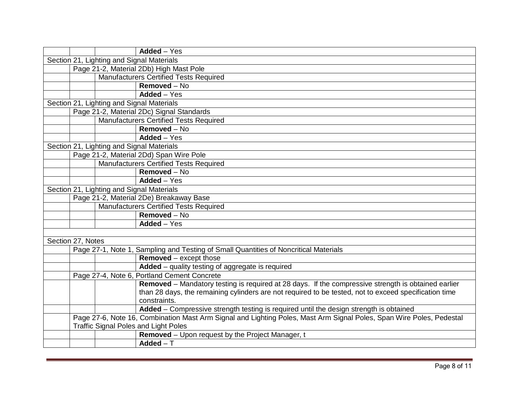|                   | $Added - Yes$                                                                                                        |
|-------------------|----------------------------------------------------------------------------------------------------------------------|
|                   | Section 21, Lighting and Signal Materials                                                                            |
|                   | Page 21-2, Material 2Db) High Mast Pole                                                                              |
|                   | <b>Manufacturers Certified Tests Required</b>                                                                        |
|                   | $Removed - No$                                                                                                       |
|                   | Added - Yes                                                                                                          |
|                   | Section 21, Lighting and Signal Materials                                                                            |
|                   | Page 21-2, Material 2Dc) Signal Standards                                                                            |
|                   | <b>Manufacturers Certified Tests Required</b>                                                                        |
|                   | Removed - No                                                                                                         |
|                   | Added - Yes                                                                                                          |
|                   | Section 21, Lighting and Signal Materials                                                                            |
|                   | Page 21-2, Material 2Dd) Span Wire Pole                                                                              |
|                   | <b>Manufacturers Certified Tests Required</b>                                                                        |
|                   | Removed - No                                                                                                         |
|                   | $Added - Yes$                                                                                                        |
|                   | Section 21, Lighting and Signal Materials                                                                            |
|                   | Page 21-2, Material 2De) Breakaway Base                                                                              |
|                   | <b>Manufacturers Certified Tests Required</b>                                                                        |
|                   | Removed - No                                                                                                         |
|                   | Added - Yes                                                                                                          |
|                   |                                                                                                                      |
| Section 27, Notes |                                                                                                                      |
|                   | Page 27-1, Note 1, Sampling and Testing of Small Quantities of Noncritical Materials                                 |
|                   | <b>Removed</b> – except those                                                                                        |
|                   | Added - quality testing of aggregate is required                                                                     |
|                   | Page 27-4, Note 6, Portland Cement Concrete                                                                          |
|                   | Removed - Mandatory testing is required at 28 days. If the compressive strength is obtained earlier                  |
|                   | than 28 days, the remaining cylinders are not required to be tested, not to exceed specification time                |
|                   | constraints.                                                                                                         |
|                   | Added - Compressive strength testing is required until the design strength is obtained                               |
|                   | Page 27-6, Note 16, Combination Mast Arm Signal and Lighting Poles, Mast Arm Signal Poles, Span Wire Poles, Pedestal |
|                   | <b>Traffic Signal Poles and Light Poles</b>                                                                          |
|                   | Removed - Upon request by the Project Manager, t                                                                     |
|                   | $Added-T$                                                                                                            |
|                   |                                                                                                                      |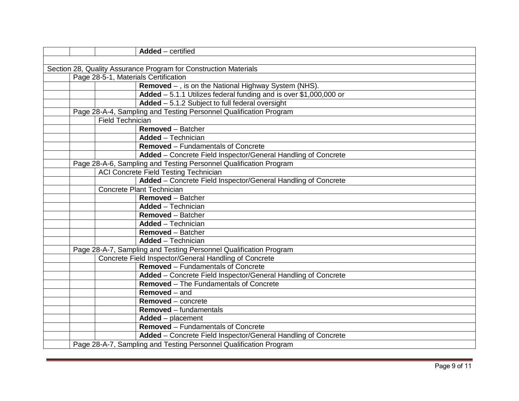|  |                         | Added - certified                                                  |
|--|-------------------------|--------------------------------------------------------------------|
|  |                         |                                                                    |
|  |                         | Section 28, Quality Assurance Program for Construction Materials   |
|  |                         | Page 28-5-1, Materials Certification                               |
|  |                         | Removed - , is on the National Highway System (NHS).               |
|  |                         | Added $-5.1.1$ Utilizes federal funding and is over \$1,000,000 or |
|  |                         | Added - 5.1.2 Subject to full federal oversight                    |
|  |                         | Page 28-A-4, Sampling and Testing Personnel Qualification Program  |
|  | <b>Field Technician</b> |                                                                    |
|  |                         | <b>Removed</b> - Batcher                                           |
|  |                         | <b>Added</b> - Technician                                          |
|  |                         | <b>Removed - Fundamentals of Concrete</b>                          |
|  |                         | Added - Concrete Field Inspector/General Handling of Concrete      |
|  |                         | Page 28-A-6, Sampling and Testing Personnel Qualification Program  |
|  |                         | ACI Concrete Field Testing Technician                              |
|  |                         | Added - Concrete Field Inspector/General Handling of Concrete      |
|  |                         | <b>Concrete Plant Technician</b>                                   |
|  |                         | <b>Removed</b> - Batcher                                           |
|  |                         | <b>Added</b> - Technician                                          |
|  |                         | <b>Removed</b> - Batcher                                           |
|  |                         | <b>Added</b> – Technician                                          |
|  |                         | <b>Removed</b> – Batcher                                           |
|  |                         | <b>Added</b> - Technician                                          |
|  |                         | Page 28-A-7, Sampling and Testing Personnel Qualification Program  |
|  |                         | Concrete Field Inspector/General Handling of Concrete              |
|  |                         | <b>Removed - Fundamentals of Concrete</b>                          |
|  |                         | Added - Concrete Field Inspector/General Handling of Concrete      |
|  |                         | Removed - The Fundamentals of Concrete                             |
|  |                         | <b>Removed</b> – and                                               |
|  |                         | <b>Removed</b> – concrete                                          |
|  |                         | <b>Removed</b> – fundamentals                                      |
|  |                         | Added - placement                                                  |
|  |                         | <b>Removed</b> – Fundamentals of Concrete                          |
|  |                         | Added - Concrete Field Inspector/General Handling of Concrete      |
|  |                         | Page 28-A-7, Sampling and Testing Personnel Qualification Program  |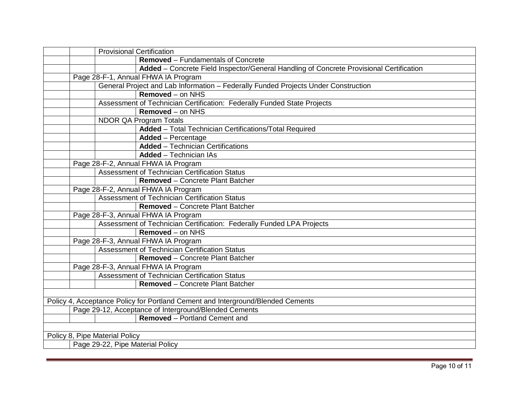| <b>Provisional Certification</b>                                                        |
|-----------------------------------------------------------------------------------------|
| <b>Removed</b> – Fundamentals of Concrete                                               |
| Added - Concrete Field Inspector/General Handling of Concrete Provisional Certification |
| Page 28-F-1, Annual FHWA IA Program                                                     |
| General Project and Lab Information - Federally Funded Projects Under Construction      |
| Removed - on NHS                                                                        |
| Assessment of Technician Certification: Federally Funded State Projects                 |
| <b>Removed - on NHS</b>                                                                 |
| NDOR QA Program Totals                                                                  |
| Added - Total Technician Certifications/Total Required                                  |
| <b>Added</b> - Percentage                                                               |
| <b>Added</b> - Technician Certifications                                                |
| <b>Added</b> - Technician IAs                                                           |
| Page 28-F-2, Annual FHWA IA Program                                                     |
| Assessment of Technician Certification Status                                           |
| <b>Removed</b> – Concrete Plant Batcher                                                 |
| Page 28-F-2, Annual FHWA IA Program                                                     |
| Assessment of Technician Certification Status                                           |
| <b>Removed</b> – Concrete Plant Batcher                                                 |
| Page 28-F-3, Annual FHWA IA Program                                                     |
| Assessment of Technician Certification: Federally Funded LPA Projects                   |
| Removed - on NHS                                                                        |
| Page 28-F-3, Annual FHWA IA Program                                                     |
| <b>Assessment of Technician Certification Status</b>                                    |
| Removed - Concrete Plant Batcher                                                        |
| Page 28-F-3, Annual FHWA IA Program                                                     |
| <b>Assessment of Technician Certification Status</b>                                    |
| Removed - Concrete Plant Batcher                                                        |
|                                                                                         |
| Policy 4, Acceptance Policy for Portland Cement and Interground/Blended Cements         |
| Page 29-12, Acceptance of Interground/Blended Cements                                   |
| <b>Removed</b> – Portland Cement and                                                    |
|                                                                                         |
| Policy 8, Pipe Material Policy                                                          |
| Page 29-22, Pipe Material Policy                                                        |
|                                                                                         |